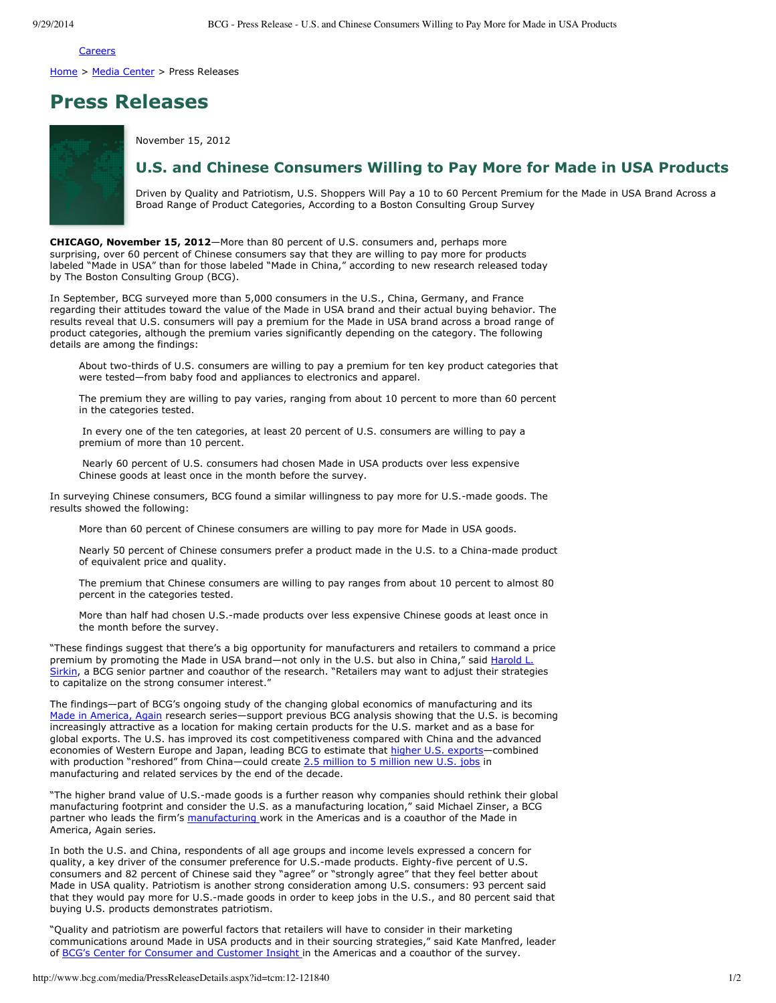Careers

Home > Media Center > Press Releases

## **Press Releases**

November 15, 2012

## **U.S. and Chinese Consumers Willing to Pay More for Made in USA Products**

Driven by Quality and Patriotism, U.S. Shoppers Will Pay a 10 to 60 Percent Premium for the Made in USA Brand Across a Broad Range of Product Categories, According to a Boston Consulting Group Survey

**CHICAGO, November 15, 2012**—More than 80 percent of U.S. consumers and, perhaps more surprising, over 60 percent of Chinese consumers say that they are willing to pay more for products labeled "Made in USA" than for those labeled "Made in China," according to new research released today by The Boston Consulting Group (BCG).

In September, BCG surveyed more than 5,000 consumers in the U.S., China, Germany, and France regarding their attitudes toward the value of the Made in USA brand and their actual buying behavior. The results reveal that U.S. consumers will pay a premium for the Made in USA brand across a broad range of product categories, although the premium varies significantly depending on the category. The following details are among the findings:

About two-thirds of U.S. consumers are willing to pay a premium for ten key product categories that were tested—from baby food and appliances to electronics and apparel.

The premium they are willing to pay varies, ranging from about 10 percent to more than 60 percent in the categories tested.

In every one of the ten categories, at least 20 percent of U.S. consumers are willing to pay a premium of more than 10 percent.

Nearly 60 percent of U.S. consumers had chosen Made in USA products over less expensive Chinese goods at least once in the month before the survey.

In surveying Chinese consumers, BCG found a similar willingness to pay more for U.S.-made goods. The results showed the following:

More than 60 percent of Chinese consumers are willing to pay more for Made in USA goods.

Nearly 50 percent of Chinese consumers prefer a product made in the U.S. to a China-made product of equivalent price and quality.

The premium that Chinese consumers are willing to pay ranges from about 10 percent to almost 80 percent in the categories tested.

More than half had chosen U.S.-made products over less expensive Chinese goods at least once in the month before the survey.

"These findings suggest that there's a big opportunity for manufacturers and retailers to command a price premium by promoting the Made in USA brand—not only in the U.S. but also in China," said Harold L. Sirkin, a BCG senior partner and coauthor of the research. "Retailers may want to adjust their strategies to capitalize on the strong consumer interest."

The findings—part of BCG's ongoing study of the changing global economics of manufacturing and its Made in America, Again research series—support previous BCG analysis showing that the U.S. is becoming increasingly attractive as a location for making certain products for the U.S. market and as a base for global exports. The U.S. has improved its cost competitiveness compared with China and the advanced economies of Western Europe and Japan, leading BCG to estimate that higher U.S. exports-combined with production "reshored" from China—could create 2.5 million to 5 million new U.S. jobs in manufacturing and related services by the end of the decade.

"The higher brand value of U.S.-made goods is a further reason why companies should rethink their global manufacturing footprint and consider the U.S. as a manufacturing location," said Michael Zinser, a BCG partner who leads the firm's manufacturing work in the Americas and is a coauthor of the Made in America, Again series.

In both the U.S. and China, respondents of all age groups and income levels expressed a concern for quality, a key driver of the consumer preference for U.S.-made products. Eighty-five percent of U.S. consumers and 82 percent of Chinese said they "agree" or "strongly agree" that they feel better about Made in USA quality. Patriotism is another strong consideration among U.S. consumers: 93 percent said that they would pay more for U.S.-made goods in order to keep jobs in the U.S., and 80 percent said that buying U.S. products demonstrates patriotism.

"Quality and patriotism are powerful factors that retailers will have to consider in their marketing communications around Made in USA products and in their sourcing strategies," said Kate Manfred, leader of BCG's Center for Consumer and Customer Insight in the Americas and a coauthor of the survey.